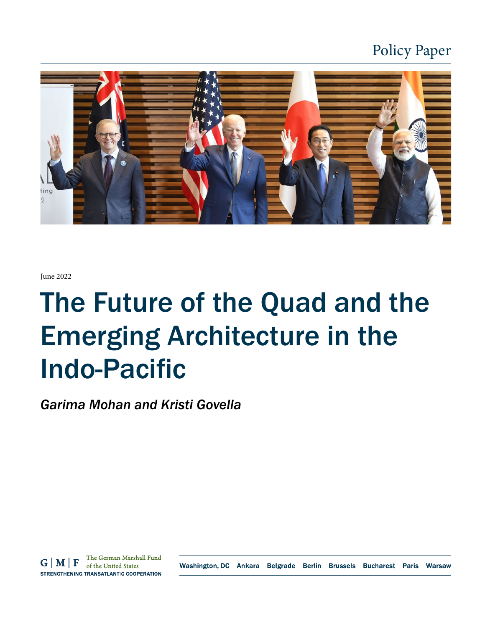

June 2022

# The Future of the Quad and the Emerging Architecture in the Indo-Pacific

*Garima Mohan and Kristi Govella*

The German Marshall Fund  $G|M|F$ of the United States STRENGTHENING TRANSATLANTIC COOPERATION

Washington, DC Ankara Belgrade Berlin Brussels Bucharest Paris Warsaw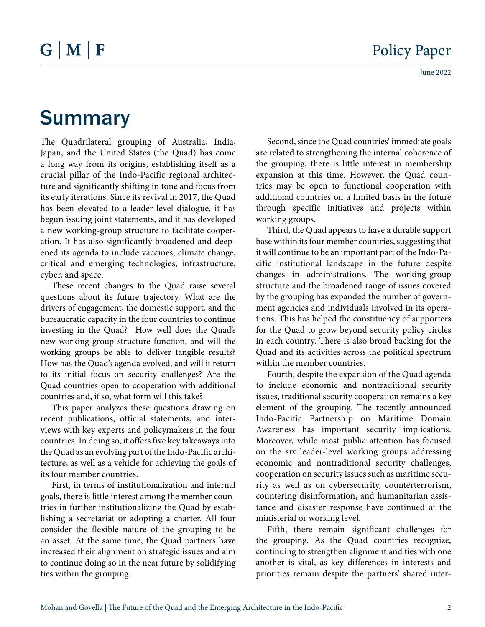# Summary

The Quadrilateral grouping of Australia, India, Japan, and the United States (the Quad) has come a long way from its origins, establishing itself as a crucial pillar of the Indo-Pacific regional architecture and significantly shifting in tone and focus from its early iterations. Since its revival in 2017, the Quad has been elevated to a leader-level dialogue, it has begun issuing joint statements, and it has developed a new working-group structure to facilitate cooperation. It has also significantly broadened and deepened its agenda to include vaccines, climate change, critical and emerging technologies, infrastructure, cyber, and space.

These recent changes to the Quad raise several questions about its future trajectory. What are the drivers of engagement, the domestic support, and the bureaucratic capacity in the four countries to continue investing in the Quad? How well does the Quad's new working-group structure function, and will the working groups be able to deliver tangible results? How has the Quad's agenda evolved, and will it return to its initial focus on security challenges? Are the Quad countries open to cooperation with additional countries and, if so, what form will this take?

This paper analyzes these questions drawing on recent publications, official statements, and interviews with key experts and policymakers in the four countries. In doing so, it offers five key takeaways into the Quad as an evolving part of the Indo-Pacific architecture, as well as a vehicle for achieving the goals of its four member countries.

First, in terms of institutionalization and internal goals, there is little interest among the member countries in further institutionalizing the Quad by establishing a secretariat or adopting a charter. All four consider the flexible nature of the grouping to be an asset. At the same time, the Quad partners have increased their alignment on strategic issues and aim to continue doing so in the near future by solidifying ties within the grouping.

Second, since the Quad countries' immediate goals are related to strengthening the internal coherence of the grouping, there is little interest in membership expansion at this time. However, the Quad countries may be open to functional cooperation with additional countries on a limited basis in the future through specific initiatives and projects within working groups.

Third, the Quad appears to have a durable support base within its four member countries, suggesting that it will continue to be an important part of the Indo-Pacific institutional landscape in the future despite changes in administrations. The working-group structure and the broadened range of issues covered by the grouping has expanded the number of government agencies and individuals involved in its operations. This has helped the constituency of supporters for the Quad to grow beyond security policy circles in each country. There is also broad backing for the Quad and its activities across the political spectrum within the member countries.

Fourth, despite the expansion of the Quad agenda to include economic and nontraditional security issues, traditional security cooperation remains a key element of the grouping. The recently announced Indo-Pacific Partnership on Maritime Domain Awareness has important security implications. Moreover, while most public attention has focused on the six leader-level working groups addressing economic and nontraditional security challenges, cooperation on security issues such as maritime security as well as on cybersecurity, counterterrorism, countering disinformation, and humanitarian assistance and disaster response have continued at the ministerial or working level.

Fifth, there remain significant challenges for the grouping. As the Quad countries recognize, continuing to strengthen alignment and ties with one another is vital, as key differences in interests and priorities remain despite the partners' shared inter-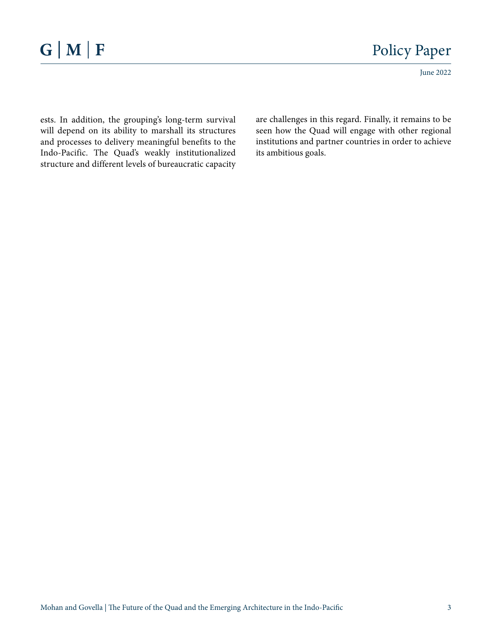June 2022

ests. In addition, the grouping's long-term survival will depend on its ability to marshall its structures and processes to delivery meaningful benefits to the Indo-Pacific. The Quad's weakly institutionalized structure and different levels of bureaucratic capacity

are challenges in this regard. Finally, it remains to be seen how the Quad will engage with other regional institutions and partner countries in order to achieve its ambitious goals.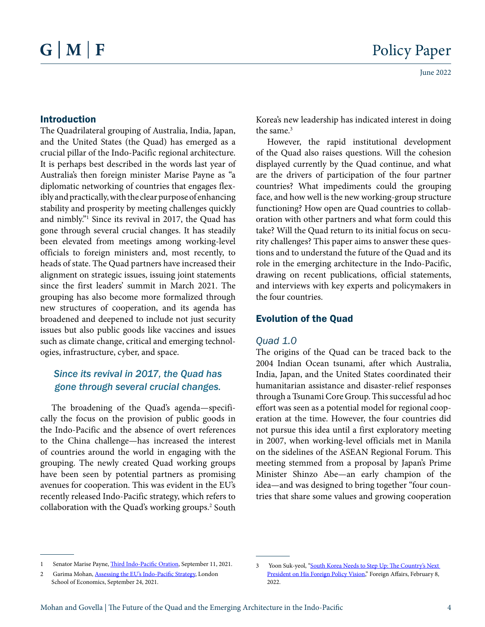#### Introduction

The Quadrilateral grouping of Australia, India, Japan, and the United States (the Quad) has emerged as a crucial pillar of the Indo-Pacific regional architecture. It is perhaps best described in the words last year of Australia's then foreign minister Marise Payne as "a diplomatic networking of countries that engages flexibly and practically, with the clear purpose of enhancing stability and prosperity by meeting challenges quickly and nimbly."1 Since its revival in 2017, the Quad has gone through several crucial changes. It has steadily been elevated from meetings among working-level officials to foreign ministers and, most recently, to heads of state. The Quad partners have increased their alignment on strategic issues, issuing joint statements since the first leaders' summit in March 2021. The grouping has also become more formalized through new structures of cooperation, and its agenda has broadened and deepened to include not just security issues but also public goods like vaccines and issues such as climate change, critical and emerging technologies, infrastructure, cyber, and space.

#### *Since its revival in 2017, the Quad has gone through several crucial changes.*

The broadening of the Quad's agenda—specifically the focus on the provision of public goods in the Indo-Pacific and the absence of overt references to the China challenge—has increased the interest of countries around the world in engaging with the grouping. The newly created Quad working groups have been seen by potential partners as promising avenues for cooperation. This was evident in the EU's recently released Indo-Pacific strategy, which refers to collaboration with the Quad's working groups.<sup>2</sup> South Korea's new leadership has indicated interest in doing the same.<sup>3</sup>

However, the rapid institutional development of the Quad also raises questions. Will the cohesion displayed currently by the Quad continue, and what are the drivers of participation of the four partner countries? What impediments could the grouping face, and how well is the new working-group structure functioning? How open are Quad countries to collaboration with other partners and what form could this take? Will the Quad return to its initial focus on security challenges? This paper aims to answer these questions and to understand the future of the Quad and its role in the emerging architecture in the Indo-Pacific, drawing on recent publications, official statements, and interviews with key experts and policymakers in the four countries.

#### Evolution of the Quad

#### *Quad 1.0*

The origins of the Quad can be traced back to the 2004 Indian Ocean tsunami, after which Australia, India, Japan, and the United States coordinated their humanitarian assistance and disaster-relief responses through a Tsunami Core Group. This successful ad hoc effort was seen as a potential model for regional cooperation at the time. However, the four countries did not pursue this idea until a first exploratory meeting in 2007, when working-level officials met in Manila on the sidelines of the ASEAN Regional Forum. This meeting stemmed from a proposal by Japan's Prime Minister Shinzo Abe—an early champion of the idea—and was designed to bring together "four countries that share some values and growing cooperation

<sup>1</sup> Senator Marise Payne, *[Third Indo-Pacific Oration](https://www.foreignminister.gov.au/minister/marise-payne/speech/third-indo-pacific-oration)*, September 11, 2021.

<sup>2</sup> Garima Mohan, [Assessing the EU's Indo-Pacific Strategy,](https://blogs.lse.ac.uk/europpblog/2021/09/24/assessing-the-eus-new-indo-pacific-strategy/) London School of Economics, September 24, 2021.

<sup>3</sup> Yoon Suk-yeol, ["South Korea Needs to Step Up: The Country's Next](https://www.foreignaffairs.com/articles/south-korea/2022-02-08/south-korea-needs-step)  [President on His Foreign Policy Vision,](https://www.foreignaffairs.com/articles/south-korea/2022-02-08/south-korea-needs-step)" Foreign Affairs, February 8, 2022.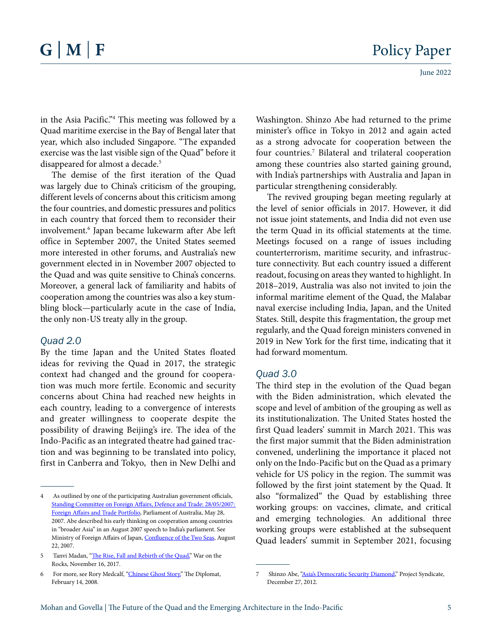June 2022

in the Asia Pacific."4 This meeting was followed by a Quad maritime exercise in the Bay of Bengal later that year, which also included Singapore. "The expanded exercise was the last visible sign of the Quad" before it disappeared for almost a decade.5

The demise of the first iteration of the Quad was largely due to China's criticism of the grouping, different levels of concerns about this criticism among the four countries, and domestic pressures and politics in each country that forced them to reconsider their involvement.6 Japan became lukewarm after Abe left office in September 2007, the United States seemed more interested in other forums, and Australia's new government elected in in November 2007 objected to the Quad and was quite sensitive to China's concerns. Moreover, a general lack of familiarity and habits of cooperation among the countries was also a key stumbling block—particularly acute in the case of India, the only non-US treaty ally in the group.

#### *Quad 2.0*

By the time Japan and the United States floated ideas for reviving the Quad in 2017, the strategic context had changed and the ground for cooperation was much more fertile. Economic and security concerns about China had reached new heights in each country, leading to a convergence of interests and greater willingness to cooperate despite the possibility of drawing Beijing's ire. The idea of the Indo-Pacific as an integrated theatre had gained traction and was beginning to be translated into policy, first in Canberra and Tokyo, then in New Delhi and Washington. Shinzo Abe had returned to the prime minister's office in Tokyo in 2012 and again acted as a strong advocate for cooperation between the four countries.<sup>7</sup> Bilateral and trilateral cooperation among these countries also started gaining ground, with India's partnerships with Australia and Japan in particular strengthening considerably.

The revived grouping began meeting regularly at the level of senior officials in 2017. However, it did not issue joint statements, and India did not even use the term Quad in its official statements at the time. Meetings focused on a range of issues including counterterrorism, maritime security, and infrastructure connectivity. But each country issued a different readout, focusing on areas they wanted to highlight. In 2018–2019, Australia was also not invited to join the informal maritime element of the Quad, the Malabar naval exercise including India, Japan, and the United States. Still, despite this fragmentation, the group met regularly, and the Quad foreign ministers convened in 2019 in New York for the first time, indicating that it had forward momentum.

#### *Quad 3.0*

The third step in the evolution of the Quad began with the Biden administration, which elevated the scope and level of ambition of the grouping as well as its institutionalization. The United States hosted the first Quad leaders' summit in March 2021. This was the first major summit that the Biden administration convened, underlining the importance it placed not only on the Indo-Pacific but on the Quad as a primary vehicle for US policy in the region. The summit was followed by the first joint statement by the Quad. It also "formalized" the Quad by establishing three working groups: on vaccines, climate, and critical and emerging technologies. An additional three working groups were established at the subsequent Quad leaders' summit in September 2021, focusing

<sup>4</sup> As outlined by one of the participating Australian government officials, [Standing Committee on Foreign Affairs, Defence and Trade: 28/05/2007:](https://parlinfo.aph.gov.au/parlInfo/search/display/display.w3p;query=(Dataset:commsen,commrep,commjnt,estimate,commbill%20SearchCategory_Phrase:committees)%20CommitteeName_Phrase:%22standing%20committee%20on%20foreign%20affairs,%20defence%20and%20trade%22%20Department_Phrase:%22department%20of%20foreign%20affairs%20and%20trade%22;rec=11)  [Foreign Affairs and Trade Portfolio](https://parlinfo.aph.gov.au/parlInfo/search/display/display.w3p;query=(Dataset:commsen,commrep,commjnt,estimate,commbill%20SearchCategory_Phrase:committees)%20CommitteeName_Phrase:%22standing%20committee%20on%20foreign%20affairs,%20defence%20and%20trade%22%20Department_Phrase:%22department%20of%20foreign%20affairs%20and%20trade%22;rec=11), Parliament of Australia, May 28, 2007. Abe described his early thinking on cooperation among countries in "broader Asia" in an August 2007 speech to India's parliament. See Ministry of Foreign Affairs of Japan, [Confluence of the Two Seas,](https://www.mofa.go.jp/region/asia-paci/pmv0708/speech-2.html) August 22, 2007.

<sup>5</sup> Tanvi Madan, "[The Rise, Fall and Rebirth of the Quad,](https://warontherocks.com/2017/11/rise-fall-rebirth-quad/)" War on the Rocks, November 16, 2017.

<sup>6</sup> For more, see Rory Medcalf, ["Chinese Ghost Story](https://thediplomat.com/2008/02/chinese-ghost-story/?allpages=yes)" The Diplomat, February 14, 2008.

<sup>7</sup> Shinzo Abe, ["Asia's Democratic Security Diamond,](https://www.project-syndicate.org/onpoint/a-strategic-alliance-for-japan-and-india-by-shinzo-abe)" Project Syndicate, December 27, 2012.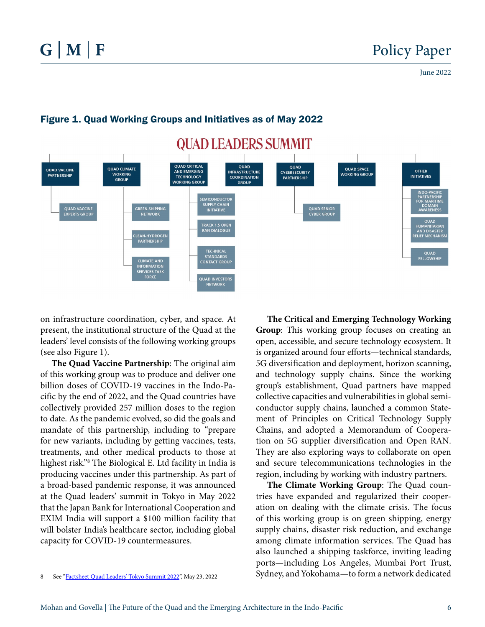

#### Figure 1. Quad Working Groups and Initiatives as of May 2022

on infrastructure coordination, cyber, and space. At present, the institutional structure of the Quad at the leaders' level consists of the following working groups (see also Figure 1).

**The Quad Vaccine Partnership**: The original aim of this working group was to produce and deliver one billion doses of COVID-19 vaccines in the Indo-Pacific by the end of 2022, and the Quad countries have collectively provided 257 million doses to the region to date. As the pandemic evolved, so did the goals and mandate of this partnership, including to "prepare for new variants, including by getting vaccines, tests, treatments, and other medical products to those at highest risk."8 The Biological E. Ltd facility in India is producing vaccines under this partnership. As part of a broad-based pandemic response, it was announced at the Quad leaders' summit in Tokyo in May 2022 that the Japan Bank for International Cooperation and EXIM India will support a \$100 million facility that will bolster India's healthcare sector, including global capacity for COVID-19 countermeasures.

**The Critical and Emerging Technology Working Group**: This working group focuses on creating an open, accessible, and secure technology ecosystem. It is organized around four efforts—technical standards, 5G diversification and deployment, horizon scanning, and technology supply chains. Since the working group's establishment, Quad partners have mapped collective capacities and vulnerabilities in global semiconductor supply chains, launched a common Statement of Principles on Critical Technology Supply Chains, and adopted a Memorandum of Cooperation on 5G supplier diversification and Open RAN. They are also exploring ways to collaborate on open and secure telecommunications technologies in the region, including by working with industry partners.

**The Climate Working Group**: The Quad countries have expanded and regularized their cooperation on dealing with the climate crisis. The focus of this working group is on green shipping, energy supply chains, disaster risk reduction, and exchange among climate information services. The Quad has also launched a shipping taskforce, inviting leading ports—including Los Angeles, Mumbai Port Trust, Sydney, and Yokohama—to form a network dedicated

<sup>8</sup> See "[Factsheet Quad Leaders' Tokyo Summit 2022"](https://www.whitehouse.gov/briefing-room/statements-releases/2022/05/23/fact-sheet-quad-leaders-tokyo-summit-2022/), May 23, 2022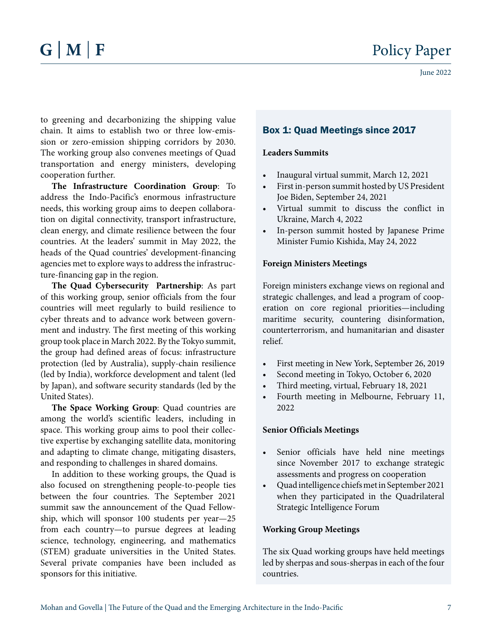to greening and decarbonizing the shipping value chain. It aims to establish two or three low-emission or zero-emission shipping corridors by 2030. The working group also convenes meetings of Quad transportation and energy ministers, developing cooperation further.

**The Infrastructure Coordination Group**: To address the Indo-Pacific's enormous infrastructure needs, this working group aims to deepen collaboration on digital connectivity, transport infrastructure, clean energy, and climate resilience between the four countries. At the leaders' summit in May 2022, the heads of the Quad countries' development-financing agencies met to explore ways to address the infrastructure-financing gap in the region.

**The Quad Cybersecurity Partnership**: As part of this working group, senior officials from the four countries will meet regularly to build resilience to cyber threats and to advance work between government and industry. The first meeting of this working group took place in March 2022. By the Tokyo summit, the group had defined areas of focus: infrastructure protection (led by Australia), supply-chain resilience (led by India), workforce development and talent (led by Japan), and software security standards (led by the United States).

**The Space Working Group**: Quad countries are among the world's scientific leaders, including in space. This working group aims to pool their collective expertise by exchanging satellite data, monitoring and adapting to climate change, mitigating disasters, and responding to challenges in shared domains.

In addition to these working groups, the Quad is also focused on strengthening people-to-people ties between the four countries. The September 2021 summit saw the announcement of the Quad Fellowship, which will sponsor 100 students per year—25 from each country—to pursue degrees at leading science, technology, engineering, and mathematics (STEM) graduate universities in the United States. Several private companies have been included as sponsors for this initiative.

## Box 1: Quad Meetings since 2017

#### **Leaders Summits**

- Inaugural virtual summit, March 12, 2021
- First in-person summit hosted by US President Joe Biden, September 24, 2021
- Virtual summit to discuss the conflict in Ukraine, March 4, 2022
- In-person summit hosted by Japanese Prime Minister Fumio Kishida, May 24, 2022

#### **Foreign Ministers Meetings**

Foreign ministers exchange views on regional and strategic challenges, and lead a program of cooperation on core regional priorities—including maritime security, countering disinformation, counterterrorism, and humanitarian and disaster relief.

- First meeting in New York, September 26, 2019
- Second meeting in Tokyo, October 6, 2020
- Third meeting, virtual, February 18, 2021
- Fourth meeting in Melbourne, February 11, 2022

#### **Senior Officials Meetings**

- Senior officials have held nine meetings since November 2017 to exchange strategic assessments and progress on cooperation
- Quad intelligence chiefs met in September 2021 when they participated in the Quadrilateral Strategic Intelligence Forum

#### **Working Group Meetings**

The six Quad working groups have held meetings led by sherpas and sous-sherpas in each of the four countries.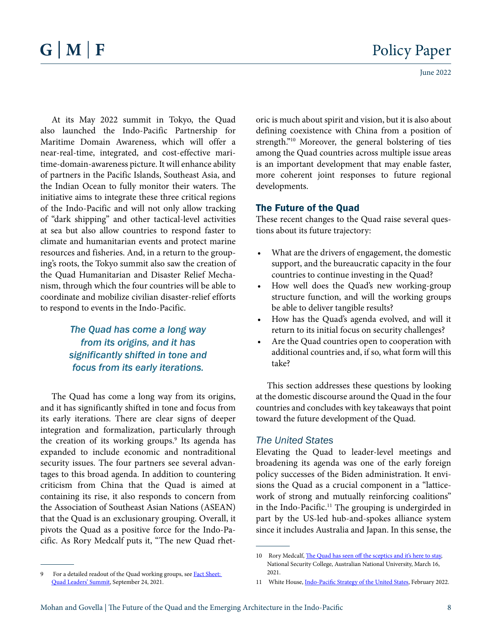At its May 2022 summit in Tokyo, the Quad also launched the Indo-Pacific Partnership for Maritime Domain Awareness, which will offer a near-real-time, integrated, and cost-effective maritime-domain-awareness picture. It will enhance ability of partners in the Pacific Islands, Southeast Asia, and the Indian Ocean to fully monitor their waters. The initiative aims to integrate these three critical regions of the Indo-Pacific and will not only allow tracking of "dark shipping" and other tactical-level activities at sea but also allow countries to respond faster to climate and humanitarian events and protect marine resources and fisheries. And, in a return to the grouping's roots, the Tokyo summit also saw the creation of the Quad Humanitarian and Disaster Relief Mechanism, through which the four countries will be able to coordinate and mobilize civilian disaster-relief efforts to respond to events in the Indo-Pacific.

> *The Quad has come a long way from its origins, and it has significantly shifted in tone and focus from its early iterations.*

The Quad has come a long way from its origins, and it has significantly shifted in tone and focus from its early iterations. There are clear signs of deeper integration and formalization, particularly through the creation of its working groups.<sup>9</sup> Its agenda has expanded to include economic and nontraditional security issues. The four partners see several advantages to this broad agenda. In addition to countering criticism from China that the Quad is aimed at containing its rise, it also responds to concern from the Association of Southeast Asian Nations (ASEAN) that the Quad is an exclusionary grouping. Overall, it pivots the Quad as a positive force for the Indo-Pacific. As Rory Medcalf puts it, "The new Quad rhetoric is much about spirit and vision, but it is also about defining coexistence with China from a position of strength."<sup>10</sup> Moreover, the general bolstering of ties among the Quad countries across multiple issue areas is an important development that may enable faster, more coherent joint responses to future regional developments.

#### The Future of the Quad

These recent changes to the Quad raise several questions about its future trajectory:

- What are the drivers of engagement, the domestic support, and the bureaucratic capacity in the four countries to continue investing in the Quad?
- How well does the Quad's new working-group structure function, and will the working groups be able to deliver tangible results?
- How has the Quad's agenda evolved, and will it return to its initial focus on security challenges?
- Are the Quad countries open to cooperation with additional countries and, if so, what form will this take?

This section addresses these questions by looking at the domestic discourse around the Quad in the four countries and concludes with key takeaways that point toward the future development of the Quad.

#### *The United States*

Elevating the Quad to leader-level meetings and broadening its agenda was one of the early foreign policy successes of the Biden administration. It envisions the Quad as a crucial component in a "latticework of strong and mutually reinforcing coalitions" in the Indo-Pacific.<sup>11</sup> The grouping is undergirded in part by the US-led hub-and-spokes alliance system since it includes Australia and Japan. In this sense, the

<sup>9</sup> For a detailed readout of the Quad working groups, see Fact Sheet: [Quad Leaders' Summit,](https://www.whitehouse.gov/briefing-room/statements-releases/2021/09/24/fact-sheet-quad-leaders-summit/) September 24, 2021.

<sup>10</sup> Rory Medcalf, [The Quad has seen off the sceptics and it's here to stay](https://nsc.crawford.anu.edu.au/department-news/18586/quad-has-seen-sceptics-and-its-here-stay), National Security College, Australian National University, March 16, 2021.

<sup>11</sup> White House, *Indo-Pacific Strategy of the United States*, February 2022.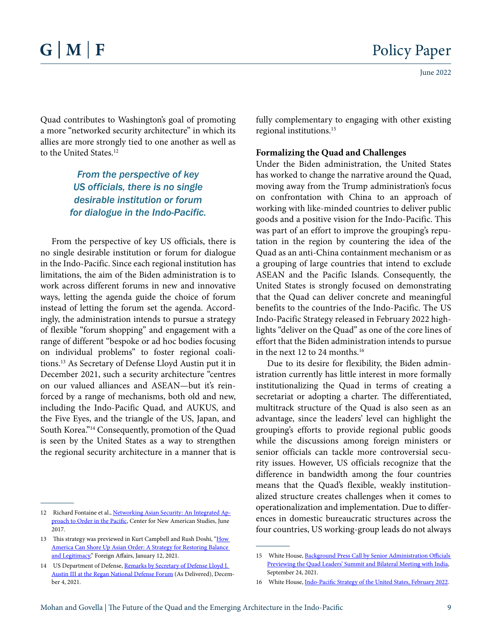Quad contributes to Washington's goal of promoting a more "networked security architecture" in which its allies are more strongly tied to one another as well as to the United States.<sup>12</sup>

### *From the perspective of key US officials, there is no single desirable institution or forum for dialogue in the Indo-Pacific.*

From the perspective of key US officials, there is no single desirable institution or forum for dialogue in the Indo-Pacific. Since each regional institution has limitations, the aim of the Biden administration is to work across different forums in new and innovative ways, letting the agenda guide the choice of forum instead of letting the forum set the agenda. Accordingly, the administration intends to pursue a strategy of flexible "forum shopping" and engagement with a range of different "bespoke or ad hoc bodies focusing on individual problems" to foster regional coalitions.13 As Secretary of Defense Lloyd Austin put it in December 2021, such a security architecture "centres on our valued alliances and ASEAN—but it's reinforced by a range of mechanisms, both old and new, including the Indo-Pacific Quad, and AUKUS, and the Five Eyes, and the triangle of the US, Japan, and South Korea."14 Consequently, promotion of the Quad is seen by the United States as a way to strengthen the regional security architecture in a manner that is

fully complementary to engaging with other existing regional institutions.15

#### **Formalizing the Quad and Challenges**

Under the Biden administration, the United States has worked to change the narrative around the Quad, moving away from the Trump administration's focus on confrontation with China to an approach of working with like-minded countries to deliver public goods and a positive vision for the Indo-Pacific. This was part of an effort to improve the grouping's reputation in the region by countering the idea of the Quad as an anti-China containment mechanism or as a grouping of large countries that intend to exclude ASEAN and the Pacific Islands. Consequently, the United States is strongly focused on demonstrating that the Quad can deliver concrete and meaningful benefits to the countries of the Indo-Pacific. The US Indo-Pacific Strategy released in February 2022 highlights "deliver on the Quad" as one of the core lines of effort that the Biden administration intends to pursue in the next 12 to 24 months.16

Due to its desire for flexibility, the Biden administration currently has little interest in more formally institutionalizing the Quad in terms of creating a secretariat or adopting a charter. The differentiated, multitrack structure of the Quad is also seen as an advantage, since the leaders' level can highlight the grouping's efforts to provide regional public goods while the discussions among foreign ministers or senior officials can tackle more controversial security issues. However, US officials recognize that the difference in bandwidth among the four countries means that the Quad's flexible, weakly institutionalized structure creates challenges when it comes to operationalization and implementation. Due to differences in domestic bureaucratic structures across the four countries, US working-group leads do not always

<sup>12</sup> Richard Fontaine et al., [Networking Asian Security: An Integrated Ap](https://s3.amazonaws.com/files.cnas.org/documents/Networking_Asian_Security_finalc.pdf)[proach to Order in the Pacific](https://s3.amazonaws.com/files.cnas.org/documents/Networking_Asian_Security_finalc.pdf), Center for New American Studies, June 2017.

<sup>13</sup> This strategy was previewed in Kurt Campbell and Rush Doshi, "How [America Can Shore Up Asian Order: A Strategy for Restoring Balance](https://www.foreignaffairs.com/articles/united-states/2021-01-12/how-america-can-shore-asian-order)  [and Legitimacy,](https://www.foreignaffairs.com/articles/united-states/2021-01-12/how-america-can-shore-asian-order)" Foreign Affairs, January 12, 2021.

<sup>14</sup> US Department of Defense, Remarks by Secretary of Defense Lloyd J. [Austin III at the Regan National Defense Forum](https://www.defense.gov/News/Speeches/Speech/Article/2861931/remarks-by-secretary-of-defense-lloyd-j-austin-iii-at-the-reagan-national-defen/) (As Delivered), December 4, 2021.

<sup>15</sup> White House, Background Press Call by Senior Administration Officials [Previewing the Quad Leaders' Summit and Bilateral Meeting with India,](https://www.whitehouse.gov/briefing-room/press-briefings/2021/09/24/background-press-call-by-senior-administration-officials-previewing-the-quad-leaders-summit-and-bilateral-meeting-with-india/) September 24, 2021.

<sup>16</sup> White House, [Indo-Pacific Strategy of the United States,](https://www.whitehouse.gov/wp-content/uploads/2022/02/U.S.-Indo-Pacific-Strategy.pdf) February 2022.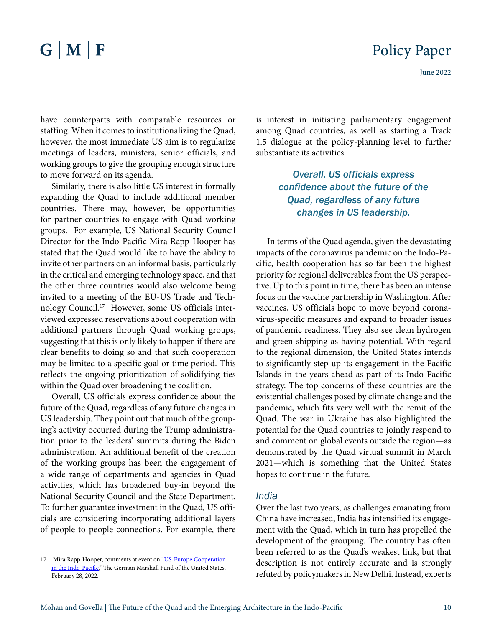have counterparts with comparable resources or staffing. When it comes to institutionalizing the Quad, however, the most immediate US aim is to regularize meetings of leaders, ministers, senior officials, and working groups to give the grouping enough structure to move forward on its agenda.

Similarly, there is also little US interest in formally expanding the Quad to include additional member countries. There may, however, be opportunities for partner countries to engage with Quad working groups. For example, US National Security Council Director for the Indo-Pacific Mira Rapp-Hooper has stated that the Quad would like to have the ability to invite other partners on an informal basis, particularly in the critical and emerging technology space, and that the other three countries would also welcome being invited to a meeting of the EU-US Trade and Technology Council.17 However, some US officials interviewed expressed reservations about cooperation with additional partners through Quad working groups, suggesting that this is only likely to happen if there are clear benefits to doing so and that such cooperation may be limited to a specific goal or time period. This reflects the ongoing prioritization of solidifying ties within the Quad over broadening the coalition.

Overall, US officials express confidence about the future of the Quad, regardless of any future changes in US leadership. They point out that much of the grouping's activity occurred during the Trump administration prior to the leaders' summits during the Biden administration. An additional benefit of the creation of the working groups has been the engagement of a wide range of departments and agencies in Quad activities, which has broadened buy-in beyond the National Security Council and the State Department. To further guarantee investment in the Quad, US officials are considering incorporating additional layers of people-to-people connections. For example, there is interest in initiating parliamentary engagement among Quad countries, as well as starting a Track 1.5 dialogue at the policy-planning level to further substantiate its activities.

> *Overall, US officials express confidence about the future of the Quad, regardless of any future changes in US leadership.*

In terms of the Quad agenda, given the devastating impacts of the coronavirus pandemic on the Indo-Pacific, health cooperation has so far been the highest priority for regional deliverables from the US perspective. Up to this point in time, there has been an intense focus on the vaccine partnership in Washington. After vaccines, US officials hope to move beyond coronavirus-specific measures and expand to broader issues of pandemic readiness. They also see clean hydrogen and green shipping as having potential. With regard to the regional dimension, the United States intends to significantly step up its engagement in the Pacific Islands in the years ahead as part of its Indo-Pacific strategy. The top concerns of these countries are the existential challenges posed by climate change and the pandemic, which fits very well with the remit of the Quad. The war in Ukraine has also highlighted the potential for the Quad countries to jointly respond to and comment on global events outside the region—as demonstrated by the Quad virtual summit in March 2021—which is something that the United States hopes to continue in the future.

#### *India*

Over the last two years, as challenges emanating from China have increased, India has intensified its engagement with the Quad, which in turn has propelled the development of the grouping. The country has often been referred to as the Quad's weakest link, but that description is not entirely accurate and is strongly refuted by policymakers in New Delhi. Instead, experts

<sup>17</sup> Mira Rapp-Hooper, comments at event on "US-Europe Cooperation [in the Indo-Pacific,](https://www.youtube.com/watch?v=Ol_uJg6ZZQ4&feature=emb_imp_woyt)" The German Marshall Fund of the United States, February 28, 2022.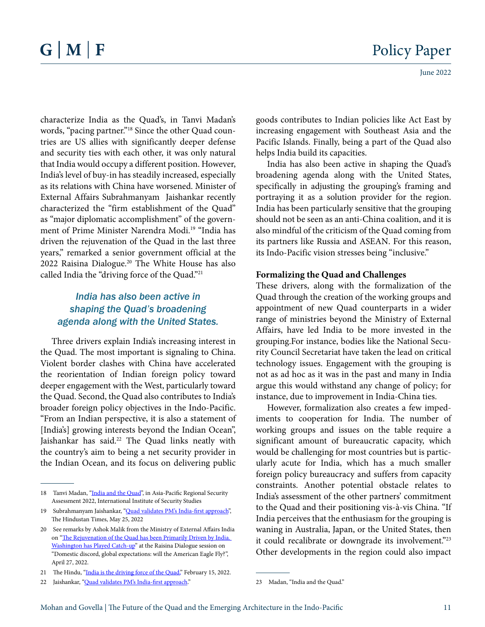characterize India as the Quad's, in Tanvi Madan's words, "pacing partner."18 Since the other Quad countries are US allies with significantly deeper defense and security ties with each other, it was only natural that India would occupy a different position. However, India's level of buy-in has steadily increased, especially as its relations with China have worsened. Minister of External Affairs Subrahmanyam Jaishankar recently characterized the "firm establishment of the Quad" as "major diplomatic accomplishment" of the government of Prime Minister Narendra Modi.<sup>19</sup> "India has driven the rejuvenation of the Quad in the last three years," remarked a senior government official at the 2022 Raisina Dialogue.20 The White House has also called India the "driving force of the Quad."<sup>21</sup>

## *India has also been active in shaping the Quad's broadening agenda along with the United States.*

Three drivers explain India's increasing interest in the Quad. The most important is signaling to China. Violent border clashes with China have accelerated the reorientation of Indian foreign policy toward deeper engagement with the West, particularly toward the Quad. Second, the Quad also contributes to India's broader foreign policy objectives in the Indo-Pacific. "From an Indian perspective, it is also a statement of [India's] growing interests beyond the Indian Ocean", Jaishankar has said.<sup>22</sup> The Quad links neatly with the country's aim to being a net security provider in the Indian Ocean, and its focus on delivering public

goods contributes to Indian policies like Act East by increasing engagement with Southeast Asia and the Pacific Islands. Finally, being a part of the Quad also helps India build its capacities.

India has also been active in shaping the Quad's broadening agenda along with the United States, specifically in adjusting the grouping's framing and portraying it as a solution provider for the region. India has been particularly sensitive that the grouping should not be seen as an anti-China coalition, and it is also mindful of the criticism of the Quad coming from its partners like Russia and ASEAN. For this reason, its Indo-Pacific vision stresses being "inclusive."

#### **Formalizing the Quad and Challenges**

These drivers, along with the formalization of the Quad through the creation of the working groups and appointment of new Quad counterparts in a wider range of ministries beyond the Ministry of External Affairs, have led India to be more invested in the grouping.For instance, bodies like the National Security Council Secretariat have taken the lead on critical technology issues. Engagement with the grouping is not as ad hoc as it was in the past and many in India argue this would withstand any change of policy; for instance, due to improvement in India-China ties.

However, formalization also creates a few impediments to cooperation for India. The number of working groups and issues on the table require a significant amount of bureaucratic capacity, which would be challenging for most countries but is particularly acute for India, which has a much smaller foreign policy bureaucracy and suffers from capacity constraints. Another potential obstacle relates to India's assessment of the other partners' commitment to the Quad and their positioning vis-à-vis China. "If India perceives that the enthusiasm for the grouping is waning in Australia, Japan, or the United States, then it could recalibrate or downgrade its involvement."<sup>23</sup> Other developments in the region could also impact

<sup>18</sup> Tanvi Madan, "[India and the Quad](https://www.iiss.org/publications/strategic-dossiers/asia-pacific-regional-security-assessment-2022/aprsa-chapter-9)", in Asia-Pacific Regional Security Assessment 2022, International Institute of Security Studies

<sup>19</sup> Subrahmanyam Jaishankar, "[Quad validates PM's India-first approach](https://www.hindustantimes.com/opinion/quad-validates-pm-s-india-first-approach-101653498815738.html)", The Hindustan Times, May 25, 2022

<sup>20</sup> See remarks by Ashok Malik from the Ministry of External Affairs India on "[The Rejuvenation of the Quad has been Primarily Driven by India.](https://www.youtube.com/watch?v=FW_QKgL2QRU&t=585s)  [Washington has Played Catch-up](https://www.youtube.com/watch?v=FW_QKgL2QRU&t=585s)" at the Raisina Dialogue session on "Domestic discord, global expectations: will the American Eagle Fly?", April 27, 2022.

<sup>21</sup> The Hindu, ["India is the driving force of the Quad,](https://www.thehindu.com/news/international/india-driving-force-of-quad-says-white-house/article65051307.ece)" February 15, 2022.

<sup>22</sup> Jaishankar, ["Quad validates PM's India-first approach.](https://www.hindustantimes.com/opinion/quad-validates-pm-s-india-first-approach-101653498815738.html)"

<sup>23</sup> Madan, "India and the Quad."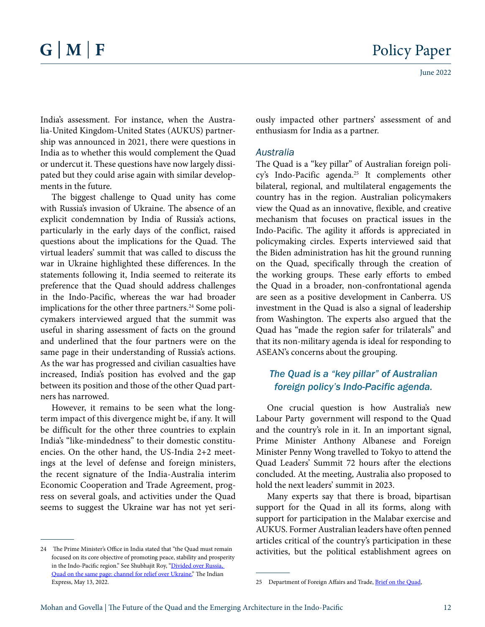India's assessment. For instance, when the Australia-United Kingdom-United States (AUKUS) partnership was announced in 2021, there were questions in India as to whether this would complement the Quad or undercut it. These questions have now largely dissipated but they could arise again with similar developments in the future.

The biggest challenge to Quad unity has come with Russia's invasion of Ukraine. The absence of an explicit condemnation by India of Russia's actions, particularly in the early days of the conflict, raised questions about the implications for the Quad. The virtual leaders' summit that was called to discuss the war in Ukraine highlighted these differences. In the statements following it, India seemed to reiterate its preference that the Quad should address challenges in the Indo-Pacific, whereas the war had broader implications for the other three partners.<sup>24</sup> Some policymakers interviewed argued that the summit was useful in sharing assessment of facts on the ground and underlined that the four partners were on the same page in their understanding of Russia's actions. As the war has progressed and civilian casualties have increased, India's position has evolved and the gap between its position and those of the other Quad partners has narrowed.

However, it remains to be seen what the longterm impact of this divergence might be, if any. It will be difficult for the other three countries to explain India's "like-mindedness" to their domestic constituencies. On the other hand, the US-India 2+2 meetings at the level of defense and foreign ministers, the recent signature of the India-Australia interim Economic Cooperation and Trade Agreement, progress on several goals, and activities under the Quad seems to suggest the Ukraine war has not yet seriously impacted other partners' assessment of and enthusiasm for India as a partner.

#### *Australia*

The Quad is a "key pillar" of Australian foreign policy's Indo-Pacific agenda.25 It complements other bilateral, regional, and multilateral engagements the country has in the region. Australian policymakers view the Quad as an innovative, flexible, and creative mechanism that focuses on practical issues in the Indo-Pacific. The agility it affords is appreciated in policymaking circles. Experts interviewed said that the Biden administration has hit the ground running on the Quad, specifically through the creation of the working groups. These early efforts to embed the Quad in a broader, non-confrontational agenda are seen as a positive development in Canberra. US investment in the Quad is also a signal of leadership from Washington. The experts also argued that the Quad has "made the region safer for trilaterals" and that its non-military agenda is ideal for responding to ASEAN's concerns about the grouping.

#### *The Quad is a "key pillar" of Australian foreign policy's Indo-Pacific agenda.*

One crucial question is how Australia's new Labour Party government will respond to the Quad and the country's role in it. In an important signal, Prime Minister Anthony Albanese and Foreign Minister Penny Wong travelled to Tokyo to attend the Quad Leaders' Summit 72 hours after the elections concluded. At the meeting, Australia also proposed to hold the next leaders' summit in 2023.

Many experts say that there is broad, bipartisan support for the Quad in all its forms, along with support for participation in the Malabar exercise and AUKUS. Former Australian leaders have often penned articles critical of the country's participation in these activities, but the political establishment agrees on

<sup>24</sup> The Prime Minister's Office in India stated that "the Quad must remain focused on its core objective of promoting peace, stability and prosperity in the Indo-Pacific region." See Shubhajit Roy, ["Divided over Russia,](https://indianexpress.com/article/india/russia-ukraine-conflict-pm-modi-quad-meeting-7798655/)  [Quad on the same page: channel for relief over Ukraine,](https://indianexpress.com/article/india/russia-ukraine-conflict-pm-modi-quad-meeting-7798655/)" The Indian Express, May 13, 2022.

<sup>25</sup> Department of Foreign Affairs and Trade, [Brief on the Quad](https://www.dfat.gov.au/international-relations/regional-architecture/quad),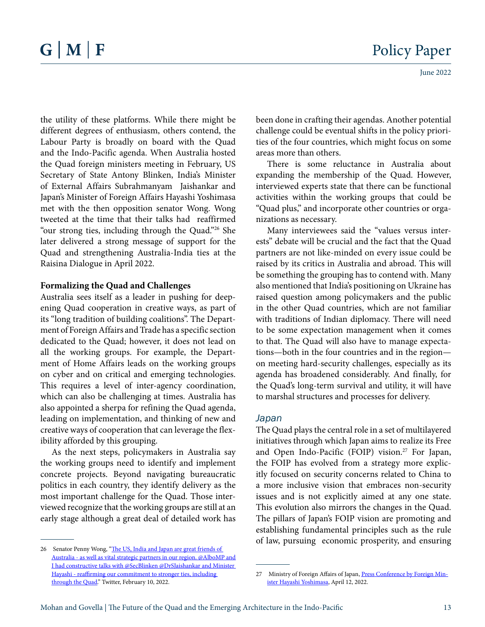the utility of these platforms. While there might be different degrees of enthusiasm, others contend, the Labour Party is broadly on board with the Quad and the Indo-Pacific agenda. When Australia hosted the Quad foreign ministers meeting in February, US Secretary of State Antony Blinken, India's Minister of External Affairs Subrahmanyam Jaishankar and Japan's Minister of Foreign Affairs Hayashi Yoshimasa met with the then opposition senator Wong. Wong tweeted at the time that their talks had reaffirmed "our strong ties, including through the Quad."26 She later delivered a strong message of support for the Quad and strengthening Australia-India ties at the Raisina Dialogue in April 2022.

#### **Formalizing the Quad and Challenges**

Australia sees itself as a leader in pushing for deepening Quad cooperation in creative ways, as part of its "long tradition of building coalitions". The Department of Foreign Affairs and Trade has a specific section dedicated to the Quad; however, it does not lead on all the working groups. For example, the Department of Home Affairs leads on the working groups on cyber and on critical and emerging technologies. This requires a level of inter-agency coordination, which can also be challenging at times. Australia has also appointed a sherpa for refining the Quad agenda, leading on implementation, and thinking of new and creative ways of cooperation that can leverage the flexibility afforded by this grouping.

As the next steps, policymakers in Australia say the working groups need to identify and implement concrete projects. Beyond navigating bureaucratic politics in each country, they identify delivery as the most important challenge for the Quad. Those interviewed recognize that the working groups are still at an early stage although a great deal of detailed work has

been done in crafting their agendas. Another potential challenge could be eventual shifts in the policy priorities of the four countries, which might focus on some areas more than others.

There is some reluctance in Australia about expanding the membership of the Quad. However, interviewed experts state that there can be functional activities within the working groups that could be "Quad plus," and incorporate other countries or organizations as necessary.

Many interviewees said the "values versus interests" debate will be crucial and the fact that the Quad partners are not like-minded on every issue could be raised by its critics in Australia and abroad. This will be something the grouping has to contend with. Many also mentioned that India's positioning on Ukraine has raised question among policymakers and the public in the other Quad countries, which are not familiar with traditions of Indian diplomacy. There will need to be some expectation management when it comes to that. The Quad will also have to manage expectations—both in the four countries and in the region on meeting hard-security challenges, especially as its agenda has broadened considerably. And finally, for the Quad's long-term survival and utility, it will have to marshal structures and processes for delivery.

#### *Japan*

The Quad plays the central role in a set of multilayered initiatives through which Japan aims to realize its Free and Open Indo-Pacific (FOIP) vision.<sup>27</sup> For Japan, the FOIP has evolved from a strategy more explicitly focused on security concerns related to China to a more inclusive vision that embraces non-security issues and is not explicitly aimed at any one state. This evolution also mirrors the changes in the Quad. The pillars of Japan's FOIP vision are promoting and establishing fundamental principles such as the rule of law, pursuing economic prosperity, and ensuring

<sup>26</sup> Senator Penny Wong, "The US, India and Japan are great friends of [Australia - as well as vital strategic partners in our region. @AlboMP and](https://twitter.com/senatorwong/status/1491988220854542340)  [I had constructive talks with @SecBlinken @DrSJaishankar and Minister](https://twitter.com/senatorwong/status/1491988220854542340)  [Hayashi - reaffirming our commitment to stronger ties, including](https://twitter.com/senatorwong/status/1491988220854542340)  [through the Quad.](https://twitter.com/senatorwong/status/1491988220854542340)" Twitter, February 10, 2022.

<sup>27</sup> Ministry of Foreign Affairs of Japan, Press Conference by Foreign Minister Hayashi Yoshimasa, April 12, 2022.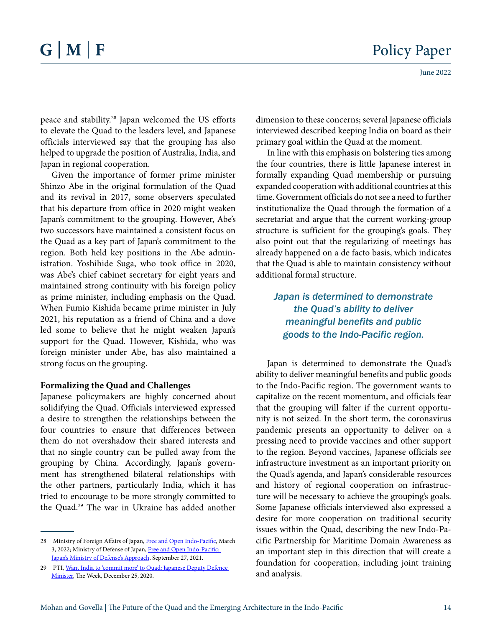peace and stability.28 Japan welcomed the US efforts to elevate the Quad to the leaders level, and Japanese officials interviewed say that the grouping has also helped to upgrade the position of Australia, India, and Japan in regional cooperation.

Given the importance of former prime minister Shinzo Abe in the original formulation of the Quad and its revival in 2017, some observers speculated that his departure from office in 2020 might weaken Japan's commitment to the grouping. However, Abe's two successors have maintained a consistent focus on the Quad as a key part of Japan's commitment to the region. Both held key positions in the Abe administration. Yoshihide Suga, who took office in 2020, was Abe's chief cabinet secretary for eight years and maintained strong continuity with his foreign policy as prime minister, including emphasis on the Quad. When Fumio Kishida became prime minister in July 2021, his reputation as a friend of China and a dove led some to believe that he might weaken Japan's support for the Quad. However, Kishida, who was foreign minister under Abe, has also maintained a strong focus on the grouping.

#### **Formalizing the Quad and Challenges**

Japanese policymakers are highly concerned about solidifying the Quad. Officials interviewed expressed a desire to strengthen the relationships between the four countries to ensure that differences between them do not overshadow their shared interests and that no single country can be pulled away from the grouping by China. Accordingly, Japan's government has strengthened bilateral relationships with the other partners, particularly India, which it has tried to encourage to be more strongly committed to the Quad.29 The war in Ukraine has added another dimension to these concerns; several Japanese officials interviewed described keeping India on board as their primary goal within the Quad at the moment.

In line with this emphasis on bolstering ties among the four countries, there is little Japanese interest in formally expanding Quad membership or pursuing expanded cooperation with additional countries at this time. Government officials do not see a need to further institutionalize the Quad through the formation of a secretariat and argue that the current working-group structure is sufficient for the grouping's goals. They also point out that the regularizing of meetings has already happened on a de facto basis, which indicates that the Quad is able to maintain consistency without additional formal structure.

### *Japan is determined to demonstrate the Quad's ability to deliver meaningful benefits and public goods to the Indo-Pacific region.*

Japan is determined to demonstrate the Quad's ability to deliver meaningful benefits and public goods to the Indo-Pacific region. The government wants to capitalize on the recent momentum, and officials fear that the grouping will falter if the current opportunity is not seized. In the short term, the coronavirus pandemic presents an opportunity to deliver on a pressing need to provide vaccines and other support to the region. Beyond vaccines, Japanese officials see infrastructure investment as an important priority on the Quad's agenda, and Japan's considerable resources and history of regional cooperation on infrastructure will be necessary to achieve the grouping's goals. Some Japanese officials interviewed also expressed a desire for more cooperation on traditional security issues within the Quad, describing the new Indo-Pacific Partnership for Maritime Domain Awareness as an important step in this direction that will create a foundation for cooperation, including joint training and analysis.

<sup>28</sup> Ministry of Foreign Affairs of Japan, [Free and Open Indo-Pacific,](https://www.mofa.go.jp/policy/page25e_000278.html) March 3, 2022; Ministry of Defense of Japan, [Free and Open Indo-Pacific:](https://www.mod.go.jp/en/d_act/exc/india_pacific/india_pacific-en.html)  [Japan's Ministry of Defense's Approach,](https://www.mod.go.jp/en/d_act/exc/india_pacific/india_pacific-en.html) September 27, 2021.

<sup>29</sup> PTI, [Want India to 'commit more' to Quad: Japanese Deputy Defence](https://www.theweek.in/news/world/2020/12/25/want-india-to-commit-more-to-quad-japanese-deputy-defence-minister.html)  [Minister](https://www.theweek.in/news/world/2020/12/25/want-india-to-commit-more-to-quad-japanese-deputy-defence-minister.html), The Week, December 25, 2020.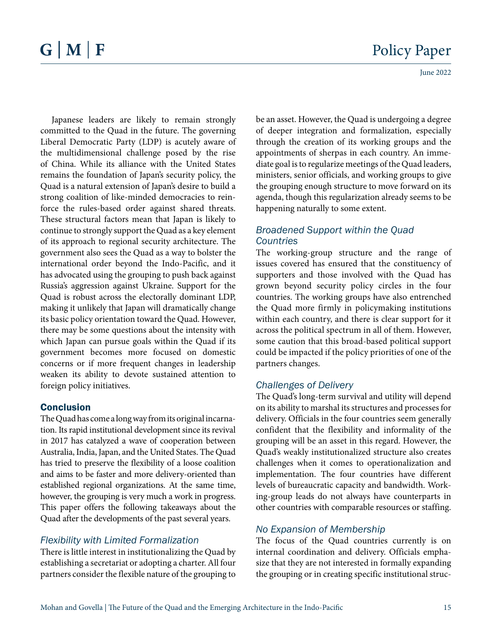Japanese leaders are likely to remain strongly committed to the Quad in the future. The governing Liberal Democratic Party (LDP) is acutely aware of the multidimensional challenge posed by the rise of China. While its alliance with the United States remains the foundation of Japan's security policy, the Quad is a natural extension of Japan's desire to build a strong coalition of like-minded democracies to reinforce the rules-based order against shared threats. These structural factors mean that Japan is likely to continue to strongly support the Quad as a key element of its approach to regional security architecture. The government also sees the Quad as a way to bolster the international order beyond the Indo-Pacific, and it has advocated using the grouping to push back against Russia's aggression against Ukraine. Support for the Quad is robust across the electorally dominant LDP, making it unlikely that Japan will dramatically change its basic policy orientation toward the Quad. However, there may be some questions about the intensity with which Japan can pursue goals within the Quad if its government becomes more focused on domestic concerns or if more frequent changes in leadership weaken its ability to devote sustained attention to foreign policy initiatives.

#### **Conclusion**

The Quad has come a long way from its original incarnation. Its rapid institutional development since its revival in 2017 has catalyzed a wave of cooperation between Australia, India, Japan, and the United States. The Quad has tried to preserve the flexibility of a loose coalition and aims to be faster and more delivery-oriented than established regional organizations. At the same time, however, the grouping is very much a work in progress. This paper offers the following takeaways about the Quad after the developments of the past several years.

#### *Flexibility with Limited Formalization*

There is little interest in institutionalizing the Quad by establishing a secretariat or adopting a charter. All four partners consider the flexible nature of the grouping to

be an asset. However, the Quad is undergoing a degree of deeper integration and formalization, especially through the creation of its working groups and the appointments of sherpas in each country. An immediate goal is to regularize meetings of the Quad leaders, ministers, senior officials, and working groups to give the grouping enough structure to move forward on its agenda, though this regularization already seems to be happening naturally to some extent.

#### *Broadened Support within the Quad Countries*

The working-group structure and the range of issues covered has ensured that the constituency of supporters and those involved with the Quad has grown beyond security policy circles in the four countries. The working groups have also entrenched the Quad more firmly in policymaking institutions within each country, and there is clear support for it across the political spectrum in all of them. However, some caution that this broad-based political support could be impacted if the policy priorities of one of the partners changes.

#### *Challenges of Delivery*

The Quad's long-term survival and utility will depend on its ability to marshal its structures and processes for delivery. Officials in the four countries seem generally confident that the flexibility and informality of the grouping will be an asset in this regard. However, the Quad's weakly institutionalized structure also creates challenges when it comes to operationalization and implementation. The four countries have different levels of bureaucratic capacity and bandwidth. Working-group leads do not always have counterparts in other countries with comparable resources or staffing.

#### *No Expansion of Membership*

The focus of the Quad countries currently is on internal coordination and delivery. Officials emphasize that they are not interested in formally expanding the grouping or in creating specific institutional struc-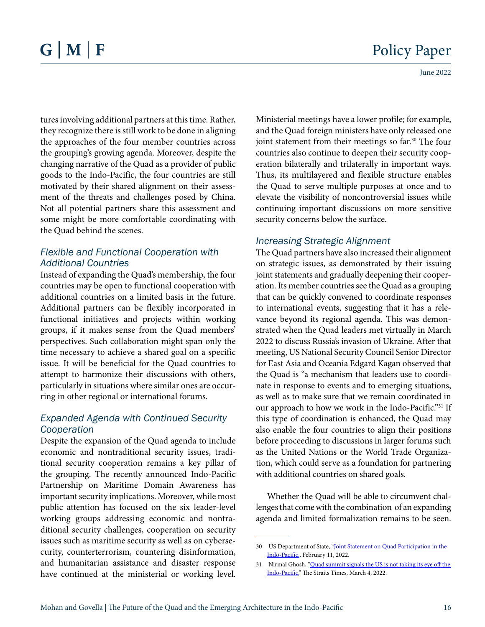tures involving additional partners at this time. Rather, they recognize there is still work to be done in aligning the approaches of the four member countries across the grouping's growing agenda. Moreover, despite the changing narrative of the Quad as a provider of public goods to the Indo-Pacific, the four countries are still motivated by their shared alignment on their assessment of the threats and challenges posed by China. Not all potential partners share this assessment and some might be more comfortable coordinating with the Quad behind the scenes.

#### *Flexible and Functional Cooperation with Additional Countries*

Instead of expanding the Quad's membership, the four countries may be open to functional cooperation with additional countries on a limited basis in the future. Additional partners can be flexibly incorporated in functional initiatives and projects within working groups, if it makes sense from the Quad members' perspectives. Such collaboration might span only the time necessary to achieve a shared goal on a specific issue. It will be beneficial for the Quad countries to attempt to harmonize their discussions with others, particularly in situations where similar ones are occurring in other regional or international forums.

#### *Expanded Agenda with Continued Security Cooperation*

Despite the expansion of the Quad agenda to include economic and nontraditional security issues, traditional security cooperation remains a key pillar of the grouping. The recently announced Indo-Pacific Partnership on Maritime Domain Awareness has important security implications. Moreover, while most public attention has focused on the six leader-level working groups addressing economic and nontraditional security challenges, cooperation on security issues such as maritime security as well as on cybersecurity, counterterrorism, countering disinformation, and humanitarian assistance and disaster response have continued at the ministerial or working level.

Ministerial meetings have a lower profile; for example, and the Quad foreign ministers have only released one joint statement from their meetings so far.<sup>30</sup> The four countries also continue to deepen their security cooperation bilaterally and trilaterally in important ways. Thus, its multilayered and flexible structure enables the Quad to serve multiple purposes at once and to elevate the visibility of noncontroversial issues while continuing important discussions on more sensitive security concerns below the surface.

#### *Increasing Strategic Alignment*

The Quad partners have also increased their alignment on strategic issues, as demonstrated by their issuing joint statements and gradually deepening their cooperation. Its member countries see the Quad as a grouping that can be quickly convened to coordinate responses to international events, suggesting that it has a relevance beyond its regional agenda. This was demonstrated when the Quad leaders met virtually in March 2022 to discuss Russia's invasion of Ukraine. After that meeting, US National Security Council Senior Director for East Asia and Oceania Edgard Kagan observed that the Quad is "a mechanism that leaders use to coordinate in response to events and to emerging situations, as well as to make sure that we remain coordinated in our approach to how we work in the Indo-Pacific."31 If this type of coordination is enhanced, the Quad may also enable the four countries to align their positions before proceeding to discussions in larger forums such as the United Nations or the World Trade Organization, which could serve as a foundation for partnering with additional countries on shared goals.

Whether the Quad will be able to circumvent challenges that come with the combination of an expanding agenda and limited formalization remains to be seen.

<sup>30</sup> US Department of State, "Joint Statement on Quad Participation in the Indo-Pacific,, February 11, 2022.

<sup>31</sup> Nirmal Ghosh, ["Quad summit signals the US is not taking its eye off the](https://www.straitstimes.com/world/united-states/quad-summit-signals-the-us-is-not-taking-its-eye-off-the-indo-pacific)  [Indo-Pacific](https://www.straitstimes.com/world/united-states/quad-summit-signals-the-us-is-not-taking-its-eye-off-the-indo-pacific)," The Straits Times, March 4, 2022.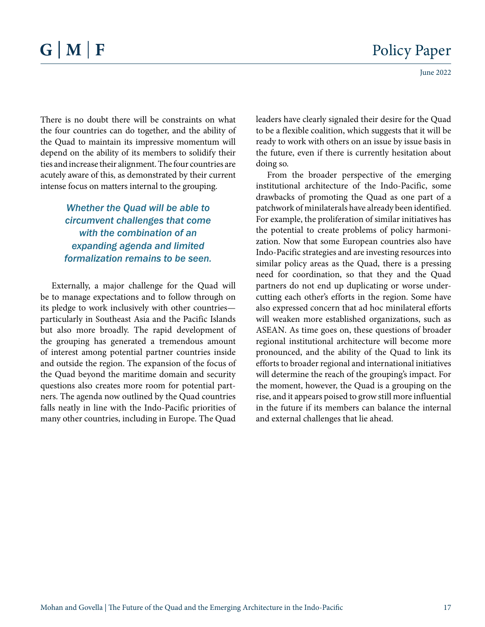There is no doubt there will be constraints on what the four countries can do together, and the ability of the Quad to maintain its impressive momentum will depend on the ability of its members to solidify their ties and increase their alignment. The four countries are acutely aware of this, as demonstrated by their current intense focus on matters internal to the grouping.

> *Whether the Quad will be able to circumvent challenges that come with the combination of an expanding agenda and limited formalization remains to be seen.*

Externally, a major challenge for the Quad will be to manage expectations and to follow through on its pledge to work inclusively with other countries particularly in Southeast Asia and the Pacific Islands but also more broadly. The rapid development of the grouping has generated a tremendous amount of interest among potential partner countries inside and outside the region. The expansion of the focus of the Quad beyond the maritime domain and security questions also creates more room for potential partners. The agenda now outlined by the Quad countries falls neatly in line with the Indo-Pacific priorities of many other countries, including in Europe. The Quad

leaders have clearly signaled their desire for the Quad to be a flexible coalition, which suggests that it will be ready to work with others on an issue by issue basis in the future, even if there is currently hesitation about doing so.

From the broader perspective of the emerging institutional architecture of the Indo-Pacific, some drawbacks of promoting the Quad as one part of a patchwork of minilaterals have already been identified. For example, the proliferation of similar initiatives has the potential to create problems of policy harmonization. Now that some European countries also have Indo-Pacific strategies and are investing resources into similar policy areas as the Quad, there is a pressing need for coordination, so that they and the Quad partners do not end up duplicating or worse undercutting each other's efforts in the region. Some have also expressed concern that ad hoc minilateral efforts will weaken more established organizations, such as ASEAN. As time goes on, these questions of broader regional institutional architecture will become more pronounced, and the ability of the Quad to link its efforts to broader regional and international initiatives will determine the reach of the grouping's impact. For the moment, however, the Quad is a grouping on the rise, and it appears poised to grow still more influential in the future if its members can balance the internal and external challenges that lie ahead.